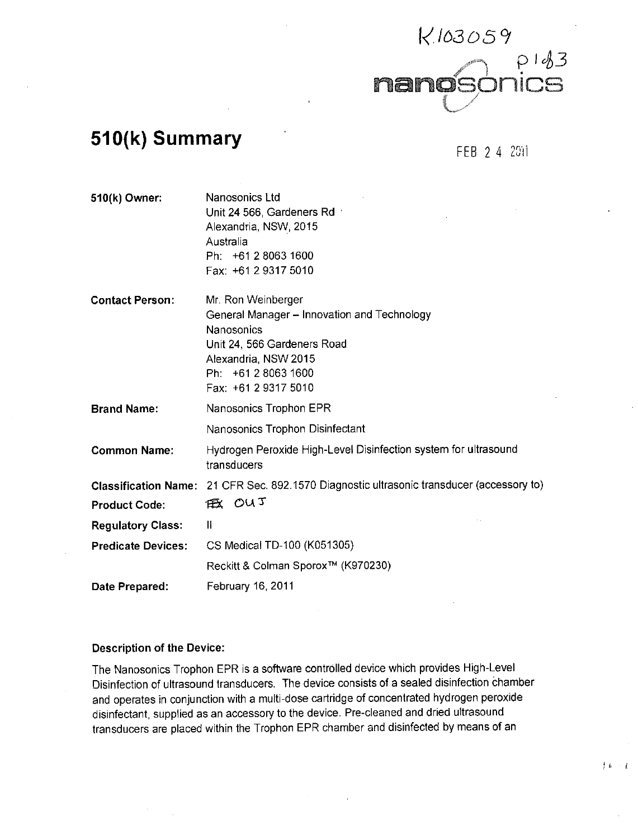

# **510(k) Summary FEB 2.4 2011**

手术  $\sim 1$ 

| 510(k) Owner:               | Nanosonics Ltd<br>Unit 24 566, Gardeners Rd<br>Alexandria, NSW, 2015<br>Australia<br>Ph: +61 2 8063 1600<br>Fax: +61 2 9317 5010                                                             |
|-----------------------------|----------------------------------------------------------------------------------------------------------------------------------------------------------------------------------------------|
| <b>Contact Person:</b>      | Mr. Ron Weinberger<br>General Manager - Innovation and Technology<br><b>Nanosonics</b><br>Unit 24, 566 Gardeners Road<br>Alexandria, NSW 2015<br>Ph: +61 2 8063 1600<br>Fax: +61 2 9317 5010 |
| <b>Brand Name:</b>          | Nanosonics Trophon EPR                                                                                                                                                                       |
|                             | Nanosonics Trophon Disinfectant                                                                                                                                                              |
| <b>Common Name:</b>         | Hydrogen Peroxide High-Level Disinfection system for ultrasound<br>transducers                                                                                                               |
| <b>Classification Name:</b> | 21 CFR Sec. 892.1570 Diagnostic ultrasonic transducer (accessory to)                                                                                                                         |
| <b>Product Code:</b>        | 低 OUT                                                                                                                                                                                        |
| <b>Regulatory Class:</b>    | Ш                                                                                                                                                                                            |
| <b>Predicate Devices:</b>   | CS Medical TD-100 (K051305)                                                                                                                                                                  |
|                             | Reckitt & Colman Sporox™ (K970230)                                                                                                                                                           |
| Date Prepared:              | February 16, 2011                                                                                                                                                                            |

### **Description of the Device:**

The Nanosonics Trophon EPR is a software controlled device which provides High-Level Disinfection of ultrasound transducers. The device consists of a sealed disinfection chamber and operates in conjunction with a multi-dose cartridge of concentrated hydrogen peroxide disinfectant, supplied as an accessory to the device. Pre-cleaned and dried ultrasound transducers are placed within the Trophon EPR chamber and disinfected **by** means of an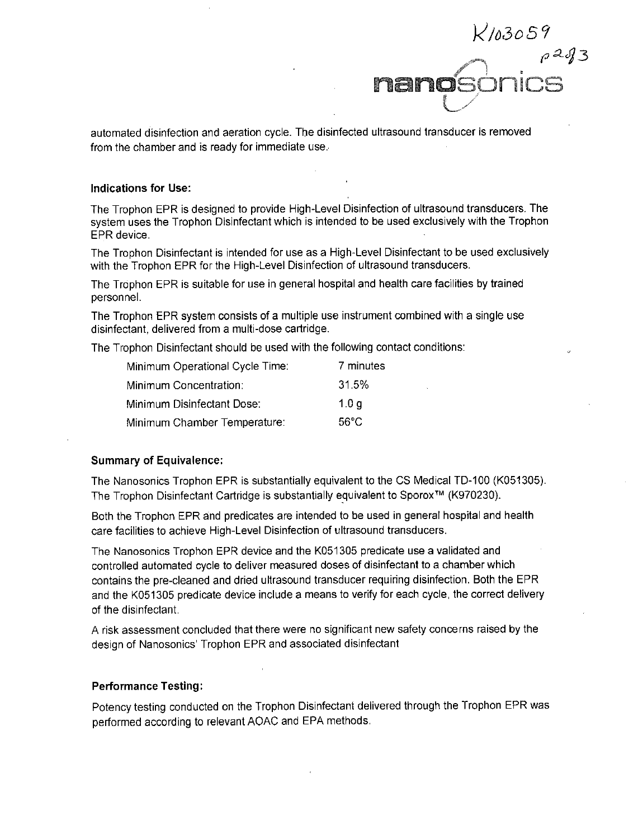$K$ 10305'  $\rho$ 2of 3 nan

automated disinfection and aeration cycle. The disinfected ultrasound transducer is removed from the chamber and is ready for immediate use..

#### **Indications for Use:**

The Trophon EPR is designed to provide High-Level Disinfection of ultrasound transducers. The system uses the Trophon Disinfectant which is intended to be used exclusively with the Trophon EPR device.

The Trophon Disinfectant is intended for use as a High-Level Disinfectant to be used exclusively with the Trophon EPR for the High-Level Disinfection of ultrasound transducers.

The Trophon EPR is suitable for use in general hospital and health care facilities **by** trained personnel.

The Trophon EPR system consists of a multiple use instrument combined with a single use disinfectant, delivered from a multi-dose cartridge.

The Trophon Disinfectant should be used with the following contact conditions:

| Minimum Operational Cycle Time: | 7 minutes |
|---------------------------------|-----------|
| Minimum Concentration:          | 31.5%     |
| Minimum Disinfectant Dose:      | 1.0q      |
| Minimum Chamber Temperature:    | 56°C      |

#### **Summary of Equivalence:**

The Nanosonics Trophon EPR is substantially equivalent to the **CS** Medical TD-100 **(K051 305).** The Trophon Disinfectant Cartridge is substantially equivalent to SporoX TM **(K970230).**

Both the Trophon EPR and predicates are intended to be used in general hospital and health care facilities to achieve High-Level Disinfection of ultrasound transducers.

The Nanosonics Trophon EPR device and the **K051305** predicate use a validated and controlled automated cycle to deliver measured doses of disinfectant to a chamber which contains the pre-cleaned and dried ultrasound transducer requiring disinfection. Both the EPR and the **K051305** predicate device include a means to verify for each cycle, the correct delivery of the disinfectant.

**A** risk assessment concluded that there were no significant new safety concerns raised **by** the design of Nanosonics' Trophon EPR and associated disinfectant

#### **Performance Testing:**

Potency testing conducted on the Trophon Disinfectant delivered through the Trophon EPR was performed according to relevant **AOAC** and **EPA** methods.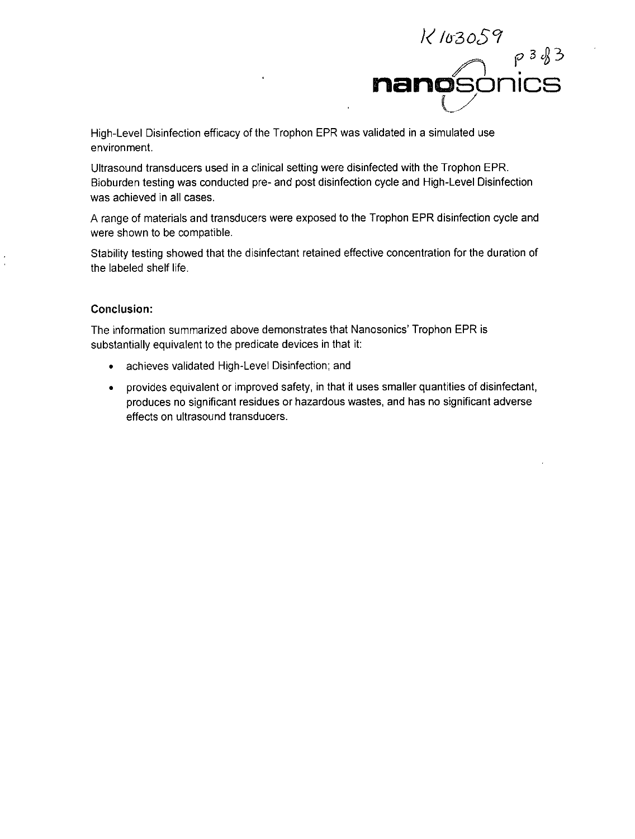

High-Level Disinfection efficacy of the Trophon EPR was validated in a simulated use environment.

Ultrasound transducers used in a clinical setting were disinfected with the Trophon EPR. Bioburden testing was conducted pre- and post disinfection cycle and High-Level Disinfection was achieved in all cases.

**A** range of materials and transducers were exposed to the Trophon EPR disinfection cycle and were shown to be compatible.

Stability testing showed that the disinfectant retained effective concentration for the duration of the labeled shelf life.

## Conclusion:

The information summarized above demonstrates that Nanosonics' Trophon EPR is substantially equivalent to the predicate devices in that it:

- \* achieves validated High-Level Disinfection; and
- \* provides equivalent or improved safety, in that it uses smaller quantities of disinfectant, produces no significant residues or hazardous wastes, and has no significant adverse effects on ultrasound transducers.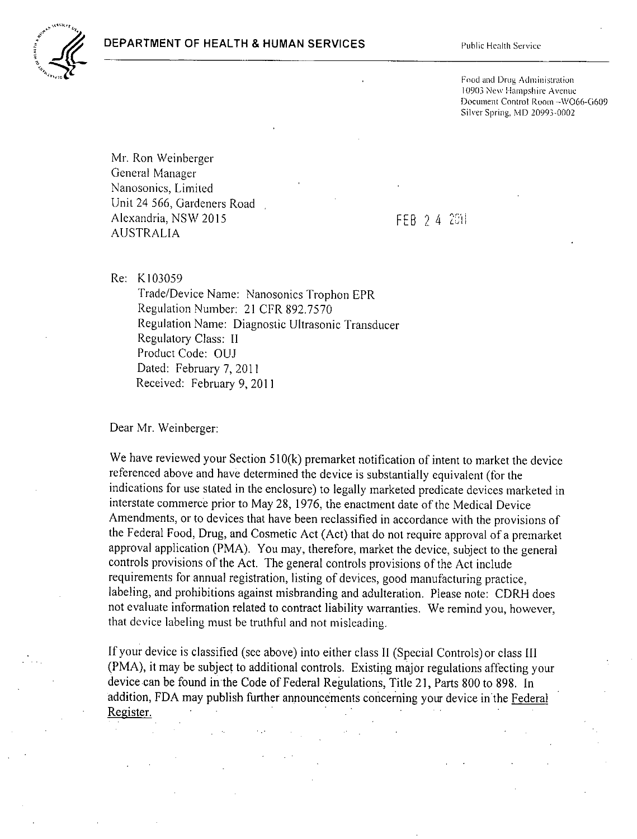

Food and Drug Administration 10903 New Hampshire Avenue Document Control Room-WO66-G609 Silver Spring, MD 20993-0002

Mr. Ron Weinberger General Manager Nanosonics, Limited Unit 24 **566,** Gardeners Road Alexandria, **NSW 2015 FEB 24 2011 AUSTRALIA**

Re: **K103059**

Trade/Device Name: Nanosonics Trophon EPR Regulation Number: 21 CFR **892.7570** Regulation Name: Diagnostic Ultrasonic Transducer Regulatory Class: **11** Product Code: **OUJ** Dated: February **7,** 2011 Received: February **9,** 2011

Dear Mr. Weinberger:

We have reviewed your Section 510(k) premarket notification of intent to market the device referenced above and have determined the device is substantially equivalent (for the indications for use stated in the enclosure) to legally marketed predicate devices marketed in interstate commerce prior to May **28, 1976,** the enactment date of the Medical Device Amendments, or to devices that have been reclassified in accordance with the provisions of the Federal Food, Drug, and Cosmetic Act (Act) that do not require approval of a premarket approval application (PMA). You may, therefore, market the device, subject to the general controls provisions of the Act. The general controls provisions of the Act include requirements for annual registration, listing of devices, good manufacturing practice, labeling, and prohibitions against misbranding and adulteration. Please note: **CDRH** does not evaluate information related to contract liability warranties. We remind you, however, that device labeling must be truthful and not misleading.

**If** your device is classified (see above) into either class **11** (Special Controls) or class **III** (PMA), it may be subject to additional controls. Existing major regulations affecting your device can be found in the Code of Federal Regulations, Title 21, Parts **800** to **898.** In addition, **FDA** may publish further announcements concerning your device in the Federal Register.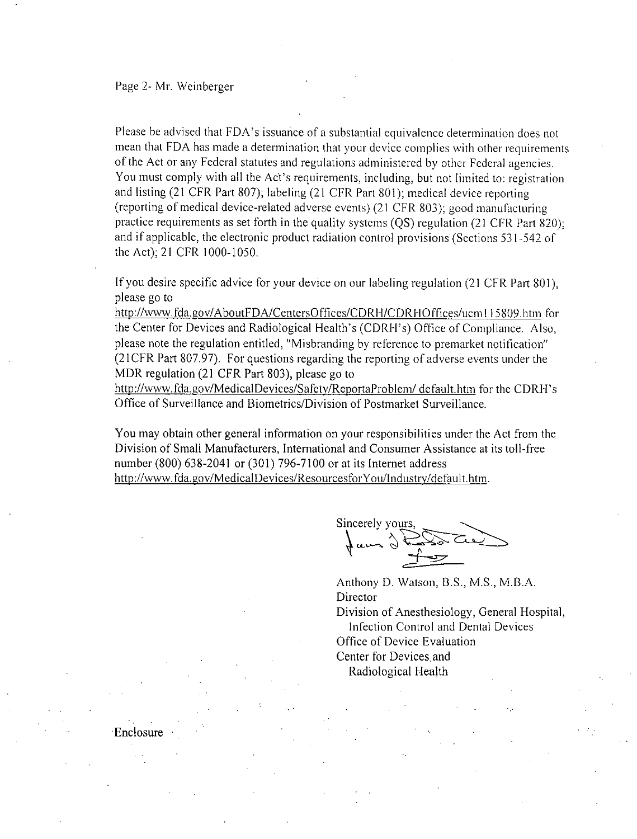Enclosure

Please be advised that FDA's issuance of a substantial equivalence determination does not mean that **FDA** has made a determination that Your device complies with other requirements of the Act or any Federal statutes and regulations administered **by** other Federal agencies. You must comply with all the Act's requirements, including, but not limited to: registration and listing (21 CER Part **807);** labeling (21 CER Part **801);** medical device reporting (reporting of medical device-related adverse events) (21 CER **803);** good Manufacturing practice requirements as set forth in the quality systems **(QS)** regulation (21 CFR Part **820);** and if applicable, the electronic product radiation control provisions (Sections 531-542 of the Act); 21 CER **1000- 1050.**

**If** you desire specific advice for your device on our labeling regulation (2 **1 CER** Part **801),** please go to

http://www.fda.gov/AboutFDA/CentersOffices/CDRH/CDRHOffices/ucm115809.htm for the Center for Devices and Radiological Health's (CDRH's) Office of Compliance. Also, please note the regulation entitled, "Misbranding **by** reference to premarket notification" (2 **1** CER Part **807.97).** For questions regarding the reporting of adverse events under the MDR regulation (21 CFR Part **803),** please go to

http://www.fda.gov/MedicalDevices/Safety/ReportaProblem/ default.htm for the CDRH's Office of Surveillance and Biometrics/Division of Postmarket Surveillance.

You may obtain other general information on your responsibilities under the Act from the Division of Small Manufacturers, International and Consumer Assistance at its toll-free number **(800) 638-2041** or **(301) 796-7100** or at its Internet address http://www.fda.gov/MedicalDevices/ResourcesforYou/Industry/default.htm.

Sincerely yours,

Anthony **D.** Watson, B.S., **M.S.,** M.B.A. Director Division of Anesthesiology, General Hospital, Inf'ection Control and Dental Devices Office of Device Evaluation Center for Devices and Radiological Health